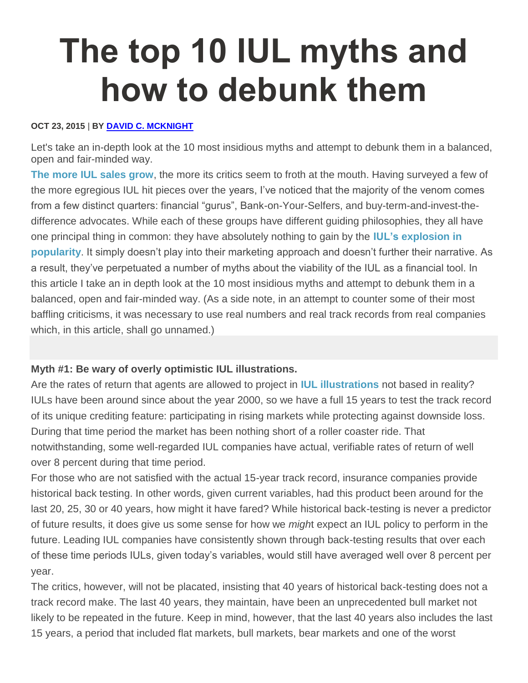# **The top 10 IUL myths and how to debunk them**

#### **OCT 23, 2015** | **BY [DAVID C. MCKNIGHT](http://www.lifehealthpro.com/author/david-mcknight)**

Let's take an in-depth look at the 10 most insidious myths and attempt to debunk them in a balanced, open and fair-minded way.

**The more IUL [sales](http://www.lifehealthpro.com/2015/07/31/iul-product-sales-on-the-upswing) grow**, the more its critics seem to froth at the mouth. Having surveyed a few of the more egregious IUL hit pieces over the years, I've noticed that the majority of the venom comes from a few distinct quarters: financial "gurus", Bank-on-Your-Selfers, and buy-term-and-invest-thedifference advocates. While each of these groups have different guiding philosophies, they all have one principal thing in common: they have absolutely nothing to gain by the **IUL's [explosion](http://www.lifehealthpro.com/2015/10/05/naifa-speaker-naics-ag-49-is-bad-news-for-indexed) in [popularity](http://www.lifehealthpro.com/2015/10/05/naifa-speaker-naics-ag-49-is-bad-news-for-indexed)**. It simply doesn't play into their marketing approach and doesn't further their narrative. As a result, they've perpetuated a number of myths about the viability of the IUL as a financial tool. In this article I take an in depth look at the 10 most insidious myths and attempt to debunk them in a balanced, open and fair-minded way. (As a side note, in an attempt to counter some of their most baffling criticisms, it was necessary to use real numbers and real track records from real companies which, in this article, shall go unnamed.)

### **Myth #1: Be wary of overly optimistic IUL illustrations.**

Are the rates of return that agents are allowed to project in **IUL [illustrations](http://www.lifehealthpro.com/2015/08/27/naic-ag49-changes-bring-consistency-to-iul-illustr)** not based in reality? IULs have been around since about the year 2000, so we have a full 15 years to test the track record of its unique crediting feature: participating in rising markets while protecting against downside loss. During that time period the market has been nothing short of a roller coaster ride. That notwithstanding, some well-regarded IUL companies have actual, verifiable rates of return of well over 8 percent during that time period.

For those who are not satisfied with the actual 15-year track record, insurance companies provide historical back testing. In other words, given current variables, had this product been around for the last 20, 25, 30 or 40 years, how might it have fared? While historical back-testing is never a predictor of future results, it does give us some sense for how we *migh*t expect an IUL policy to perform in the future. Leading IUL companies have consistently shown through back-testing results that over each of these time periods IULs, given today's variables, would still have averaged well over 8 percent per year.

The critics, however, will not be placated, insisting that 40 years of historical back-testing does not a track record make. The last 40 years, they maintain, have been an unprecedented bull market not likely to be repeated in the future. Keep in mind, however, that the last 40 years also includes the last 15 years, a period that included flat markets, bull markets, bear markets and one of the worst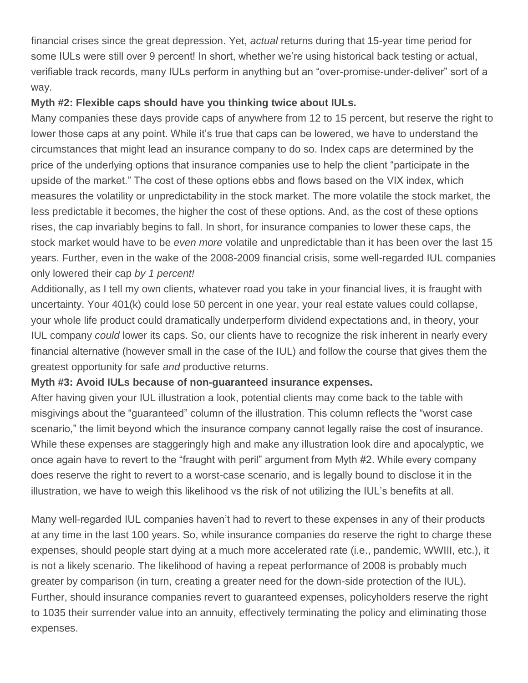financial crises since the great depression. Yet, *actual* returns during that 15-year time period for some IULs were still over 9 percent! In short, whether we're using historical back testing or actual, verifiable track records, many IULs perform in anything but an "over-promise-under-deliver" sort of a way.

## **Myth #2: Flexible caps should have you thinking twice about IULs.**

Many companies these days provide caps of anywhere from 12 to 15 percent, but reserve the right to lower those caps at any point. While it's true that caps can be lowered, we have to understand the circumstances that might lead an insurance company to do so. Index caps are determined by the price of the underlying options that insurance companies use to help the client "participate in the upside of the market." The cost of these options ebbs and flows based on the VIX index, which measures the volatility or unpredictability in the stock market. The more volatile the stock market, the less predictable it becomes, the higher the cost of these options. And, as the cost of these options rises, the cap invariably begins to fall. In short, for insurance companies to lower these caps, the stock market would have to be *even more* volatile and unpredictable than it has been over the last 15 years. Further, even in the wake of the 2008-2009 financial crisis, some well-regarded IUL companies only lowered their cap *by 1 percent!*

Additionally, as I tell my own clients, whatever road you take in your financial lives, it is fraught with uncertainty. Your 401(k) could lose 50 percent in one year, your real estate values could collapse, your whole life product could dramatically underperform dividend expectations and, in theory, your IUL company *could* lower its caps. So, our clients have to recognize the risk inherent in nearly every financial alternative (however small in the case of the IUL) and follow the course that gives them the greatest opportunity for safe *and* productive returns.

### **Myth #3: Avoid IULs because of non-guaranteed insurance expenses.**

After having given your IUL illustration a look, potential clients may come back to the table with misgivings about the "guaranteed" column of the illustration. This column reflects the "worst case scenario," the limit beyond which the insurance company cannot legally raise the cost of insurance. While these expenses are staggeringly high and make any illustration look dire and apocalyptic, we once again have to revert to the "fraught with peril" argument from Myth #2. While every company does reserve the right to revert to a worst-case scenario, and is legally bound to disclose it in the illustration, we have to weigh this likelihood vs the risk of not utilizing the IUL's benefits at all.

Many well-regarded IUL companies haven't had to revert to these expenses in any of their products at any time in the last 100 years. So, while insurance companies do reserve the right to charge these expenses, should people start dying at a much more accelerated rate (i.e., pandemic, WWIII, etc.), it is not a likely scenario. The likelihood of having a repeat performance of 2008 is probably much greater by comparison (in turn, creating a greater need for the down-side protection of the IUL). Further, should insurance companies revert to guaranteed expenses, policyholders reserve the right to 1035 their surrender value into an annuity, effectively terminating the policy and eliminating those expenses.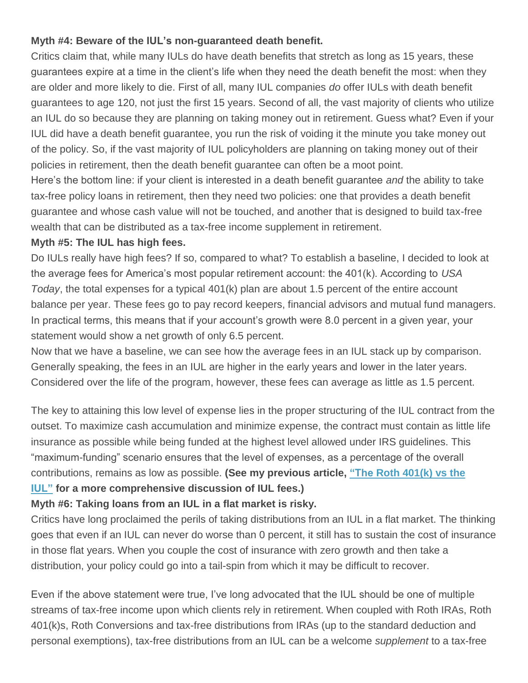## **Myth #4: Beware of the IUL's non-guaranteed death benefit.**

Critics claim that, while many IULs do have death benefits that stretch as long as 15 years, these guarantees expire at a time in the client's life when they need the death benefit the most: when they are older and more likely to die. First of all, many IUL companies *do* offer IULs with death benefit guarantees to age 120, not just the first 15 years. Second of all, the vast majority of clients who utilize an IUL do so because they are planning on taking money out in retirement. Guess what? Even if your IUL did have a death benefit guarantee, you run the risk of voiding it the minute you take money out of the policy. So, if the vast majority of IUL policyholders are planning on taking money out of their policies in retirement, then the death benefit guarantee can often be a moot point.

Here's the bottom line: if your client is interested in a death benefit guarantee *and* the ability to take tax-free policy loans in retirement, then they need two policies: one that provides a death benefit guarantee and whose cash value will not be touched, and another that is designed to build tax-free wealth that can be distributed as a tax-free income supplement in retirement.

#### **Myth #5: The IUL has high fees.**

Do IULs really have high fees? If so, compared to what? To establish a baseline, I decided to look at the average fees for America's most popular retirement account: the 401(k). According to *USA Today*, the total expenses for a typical 401(k) plan are about 1.5 percent of the entire account balance per year. These fees go to pay record keepers, financial advisors and mutual fund managers. In practical terms, this means that if your account's growth were 8.0 percent in a given year, your statement would show a net growth of only 6.5 percent.

Now that we have a baseline, we can see how the average fees in an IUL stack up by comparison. Generally speaking, the fees in an IUL are higher in the early years and lower in the later years. Considered over the life of the program, however, these fees can average as little as 1.5 percent.

The key to attaining this low level of expense lies in the proper structuring of the IUL contract from the outset. To maximize cash accumulation and minimize expense, the contract must contain as little life insurance as possible while being funded at the highest level allowed under IRS guidelines. This "maximum-funding" scenario ensures that the level of expenses, as a percentage of the overall contributions, remains as low as possible. **(See my previous article, "The Roth [401\(k\)](http://www.lifehealthpro.com/2014/08/27/the-roth-401k-vs-the-iul) vs the [IUL"](http://www.lifehealthpro.com/2014/08/27/the-roth-401k-vs-the-iul) for a more comprehensive discussion of IUL fees.)**

### **Myth #6: Taking loans from an IUL in a flat market is risky.**

Critics have long proclaimed the perils of taking distributions from an IUL in a flat market. The thinking goes that even if an IUL can never do worse than 0 percent, it still has to sustain the cost of insurance in those flat years. When you couple the cost of insurance with zero growth and then take a distribution, your policy could go into a tail-spin from which it may be difficult to recover.

Even if the above statement were true, I've long advocated that the IUL should be one of multiple streams of tax-free income upon which clients rely in retirement. When coupled with Roth IRAs, Roth 401(k)s, Roth Conversions and tax-free distributions from IRAs (up to the standard deduction and personal exemptions), tax-free distributions from an IUL can be a welcome *supplement* to a tax-free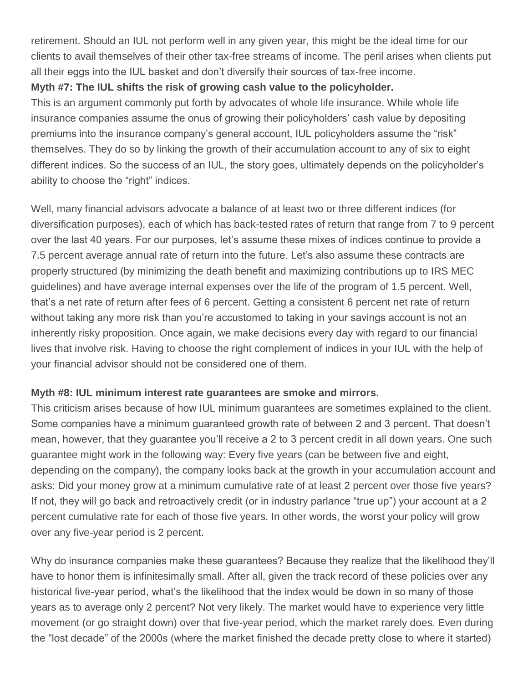retirement. Should an IUL not perform well in any given year, this might be the ideal time for our clients to avail themselves of their other tax-free streams of income. The peril arises when clients put all their eggs into the IUL basket and don't diversify their sources of tax-free income.

# **Myth #7: The IUL shifts the risk of growing cash value to the policyholder.**

This is an argument commonly put forth by advocates of whole life insurance. While whole life insurance companies assume the onus of growing their policyholders' cash value by depositing premiums into the insurance company's general account, IUL policyholders assume the "risk" themselves. They do so by linking the growth of their accumulation account to any of six to eight different indices. So the success of an IUL, the story goes, ultimately depends on the policyholder's ability to choose the "right" indices.

Well, many financial advisors advocate a balance of at least two or three different indices (for diversification purposes), each of which has back-tested rates of return that range from 7 to 9 percent over the last 40 years. For our purposes, let's assume these mixes of indices continue to provide a 7.5 percent average annual rate of return into the future. Let's also assume these contracts are properly structured (by minimizing the death benefit and maximizing contributions up to IRS MEC guidelines) and have average internal expenses over the life of the program of 1.5 percent. Well, that's a net rate of return after fees of 6 percent. Getting a consistent 6 percent net rate of return without taking any more risk than you're accustomed to taking in your savings account is not an inherently risky proposition. Once again, we make decisions every day with regard to our financial lives that involve risk. Having to choose the right complement of indices in your IUL with the help of your financial advisor should not be considered one of them.

# **Myth #8: IUL minimum interest rate guarantees are smoke and mirrors.**

This criticism arises because of how IUL minimum guarantees are sometimes explained to the client. Some companies have a minimum guaranteed growth rate of between 2 and 3 percent. That doesn't mean, however, that they guarantee you'll receive a 2 to 3 percent credit in all down years. One such guarantee might work in the following way: Every five years (can be between five and eight, depending on the company), the company looks back at the growth in your accumulation account and asks: Did your money grow at a minimum cumulative rate of at least 2 percent over those five years? If not, they will go back and retroactively credit (or in industry parlance "true up") your account at a 2 percent cumulative rate for each of those five years. In other words, the worst your policy will grow over any five-year period is 2 percent.

Why do insurance companies make these guarantees? Because they realize that the likelihood they'll have to honor them is infinitesimally small. After all, given the track record of these policies over any historical five-year period, what's the likelihood that the index would be down in so many of those years as to average only 2 percent? Not very likely. The market would have to experience very little movement (or go straight down) over that five-year period, which the market rarely does. Even during the "lost decade" of the 2000s (where the market finished the decade pretty close to where it started)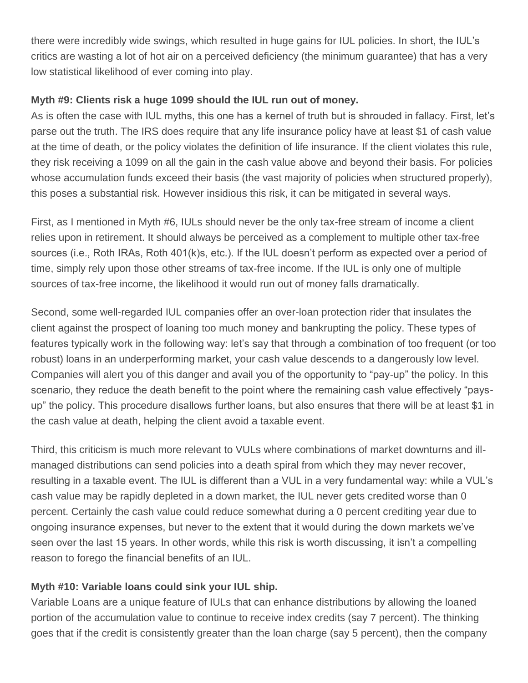there were incredibly wide swings, which resulted in huge gains for IUL policies. In short, the IUL's critics are wasting a lot of hot air on a perceived deficiency (the minimum guarantee) that has a very low statistical likelihood of ever coming into play.

## **Myth #9: Clients risk a huge 1099 should the IUL run out of money.**

As is often the case with IUL myths, this one has a kernel of truth but is shrouded in fallacy. First, let's parse out the truth. The IRS does require that any life insurance policy have at least \$1 of cash value at the time of death, or the policy violates the definition of life insurance. If the client violates this rule, they risk receiving a 1099 on all the gain in the cash value above and beyond their basis. For policies whose accumulation funds exceed their basis (the vast majority of policies when structured properly), this poses a substantial risk. However insidious this risk, it can be mitigated in several ways.

First, as I mentioned in Myth #6, IULs should never be the only tax-free stream of income a client relies upon in retirement. It should always be perceived as a complement to multiple other tax-free sources (i.e., Roth IRAs, Roth 401(k)s, etc.). If the IUL doesn't perform as expected over a period of time, simply rely upon those other streams of tax-free income. If the IUL is only one of multiple sources of tax-free income, the likelihood it would run out of money falls dramatically.

Second, some well-regarded IUL companies offer an over-loan protection rider that insulates the client against the prospect of loaning too much money and bankrupting the policy. These types of features typically work in the following way: let's say that through a combination of too frequent (or too robust) loans in an underperforming market, your cash value descends to a dangerously low level. Companies will alert you of this danger and avail you of the opportunity to "pay-up" the policy. In this scenario, they reduce the death benefit to the point where the remaining cash value effectively "paysup" the policy. This procedure disallows further loans, but also ensures that there will be at least \$1 in the cash value at death, helping the client avoid a taxable event.

Third, this criticism is much more relevant to VULs where combinations of market downturns and illmanaged distributions can send policies into a death spiral from which they may never recover, resulting in a taxable event. The IUL is different than a VUL in a very fundamental way: while a VUL's cash value may be rapidly depleted in a down market, the IUL never gets credited worse than 0 percent. Certainly the cash value could reduce somewhat during a 0 percent crediting year due to ongoing insurance expenses, but never to the extent that it would during the down markets we've seen over the last 15 years. In other words, while this risk is worth discussing, it isn't a compelling reason to forego the financial benefits of an IUL.

# **Myth #10: Variable loans could sink your IUL ship.**

Variable Loans are a unique feature of IULs that can enhance distributions by allowing the loaned portion of the accumulation value to continue to receive index credits (say 7 percent). The thinking goes that if the credit is consistently greater than the loan charge (say 5 percent), then the company